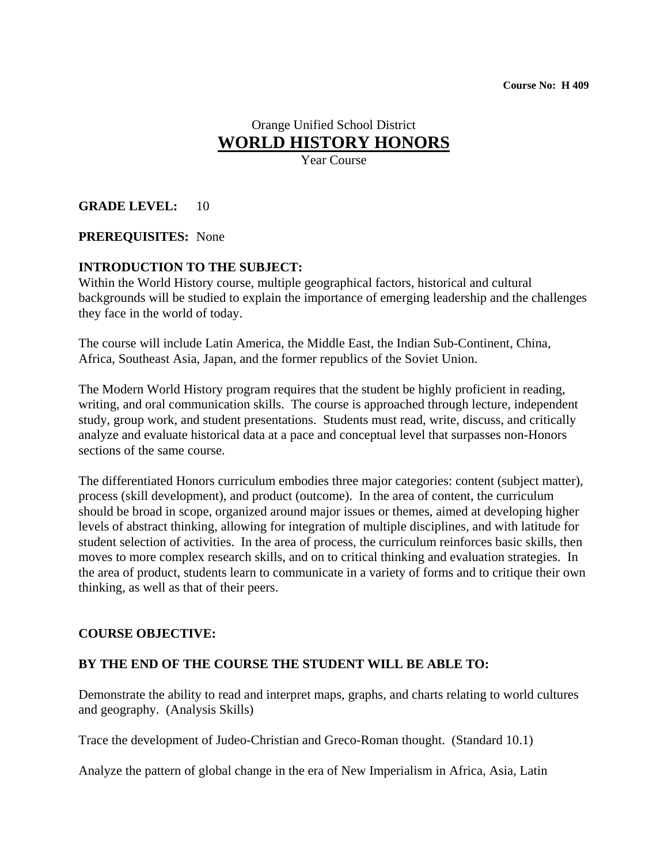# Orange Unified School District **WORLD HISTORY HONORS**

Year Course

#### **GRADE LEVEL:** 10

#### **PREREQUISITES:** None

#### **INTRODUCTION TO THE SUBJECT:**

Within the World History course, multiple geographical factors, historical and cultural backgrounds will be studied to explain the importance of emerging leadership and the challenges they face in the world of today.

The course will include Latin America, the Middle East, the Indian Sub-Continent, China, Africa, Southeast Asia, Japan, and the former republics of the Soviet Union.

The Modern World History program requires that the student be highly proficient in reading, writing, and oral communication skills. The course is approached through lecture, independent study, group work, and student presentations. Students must read, write, discuss, and critically analyze and evaluate historical data at a pace and conceptual level that surpasses non-Honors sections of the same course.

The differentiated Honors curriculum embodies three major categories: content (subject matter), process (skill development), and product (outcome). In the area of content, the curriculum should be broad in scope, organized around major issues or themes, aimed at developing higher levels of abstract thinking, allowing for integration of multiple disciplines, and with latitude for student selection of activities. In the area of process, the curriculum reinforces basic skills, then moves to more complex research skills, and on to critical thinking and evaluation strategies. In the area of product, students learn to communicate in a variety of forms and to critique their own thinking, as well as that of their peers.

#### **COURSE OBJECTIVE:**

#### **BY THE END OF THE COURSE THE STUDENT WILL BE ABLE TO:**

Demonstrate the ability to read and interpret maps, graphs, and charts relating to world cultures and geography. (Analysis Skills)

Trace the development of Judeo-Christian and Greco-Roman thought. (Standard 10.1)

Analyze the pattern of global change in the era of New Imperialism in Africa, Asia, Latin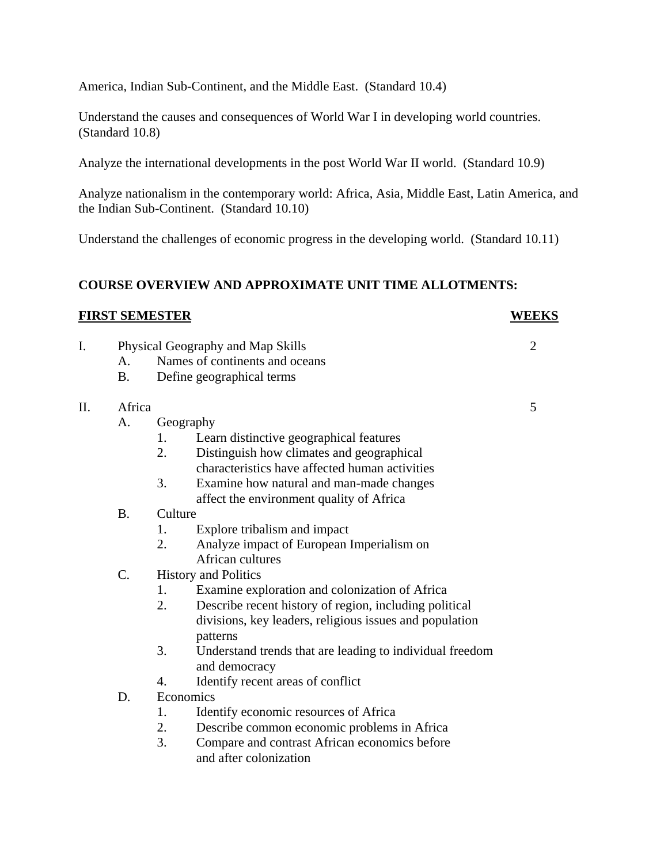America, Indian Sub-Continent, and the Middle East. (Standard 10.4)

Understand the causes and consequences of World War I in developing world countries. (Standard 10.8)

Analyze the international developments in the post World War II world. (Standard 10.9)

Analyze nationalism in the contemporary world: Africa, Asia, Middle East, Latin America, and the Indian Sub-Continent. (Standard 10.10)

Understand the challenges of economic progress in the developing world. (Standard 10.11)

#### **COURSE OVERVIEW AND APPROXIMATE UNIT TIME ALLOTMENTS:**

#### **FIRST SEMESTER WEEKS**

- I. Physical Geography and Map Skills 2 A. Names of continents and oceans
	- B. Define geographical terms

#### II. Africa 5

- A. Geography
	- 1. Learn distinctive geographical features
	- 2. Distinguish how climates and geographical characteristics have affected human activities
	- 3. Examine how natural and man-made changes affect the environment quality of Africa
- B. Culture
	- 1. Explore tribalism and impact
	- 2. Analyze impact of European Imperialism on African cultures

#### C. History and Politics

- 1. Examine exploration and colonization of Africa
- 2. Describe recent history of region, including political divisions, key leaders, religious issues and population patterns
- 3. Understand trends that are leading to individual freedom and democracy
- 4. Identify recent areas of conflict
- D. Economics
	- 1. Identify economic resources of Africa
	- 2. Describe common economic problems in Africa
	- 3. Compare and contrast African economics before and after colonization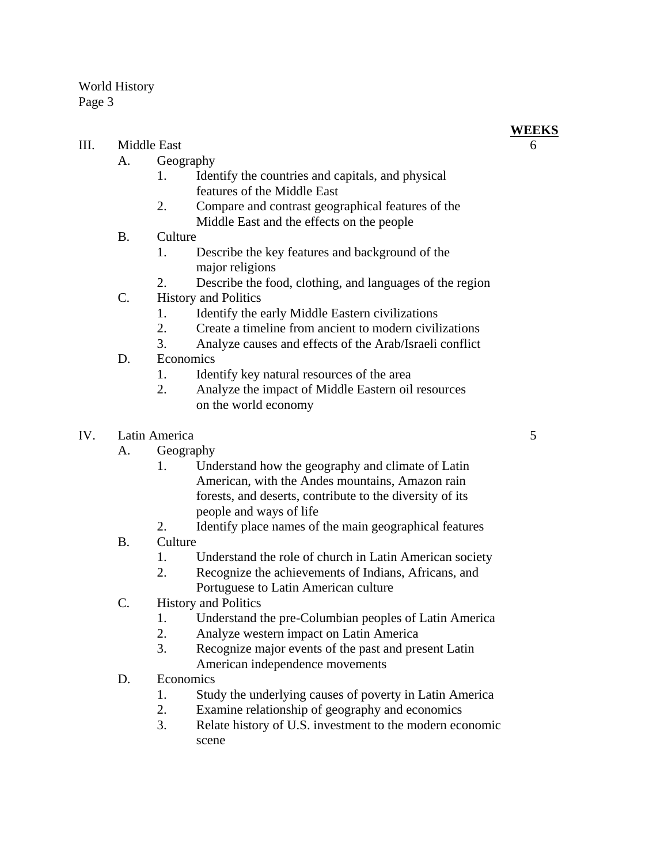### III. Middle East 6

- A. Geography
	- 1. Identify the countries and capitals, and physical features of the Middle East
	- 2. Compare and contrast geographical features of the Middle East and the effects on the people
- B. Culture
	- 1. Describe the key features and background of the major religions
	- 2. Describe the food, clothing, and languages of the region
- C. History and Politics
	- 1. Identify the early Middle Eastern civilizations
	- 2. Create a timeline from ancient to modern civilizations
	- 3. Analyze causes and effects of the Arab/Israeli conflict
- D. Economics
	- 1. Identify key natural resources of the area
	- 2. Analyze the impact of Middle Eastern oil resources on the world economy
- IV. Latin America 5
	- A. Geography
		- 1. Understand how the geography and climate of Latin American, with the Andes mountains, Amazon rain forests, and deserts, contribute to the diversity of its people and ways of life
		- 2. Identify place names of the main geographical features
	- B. Culture
		- 1. Understand the role of church in Latin American society
		- 2. Recognize the achievements of Indians, Africans, and Portuguese to Latin American culture
	- C. History and Politics
		- 1. Understand the pre-Columbian peoples of Latin America
		- 2. Analyze western impact on Latin America
		- 3. Recognize major events of the past and present Latin American independence movements
	- D. Economics
		- 1. Study the underlying causes of poverty in Latin America
		- 2. Examine relationship of geography and economics
		- 3. Relate history of U.S. investment to the modern economic scene

**WEEKS**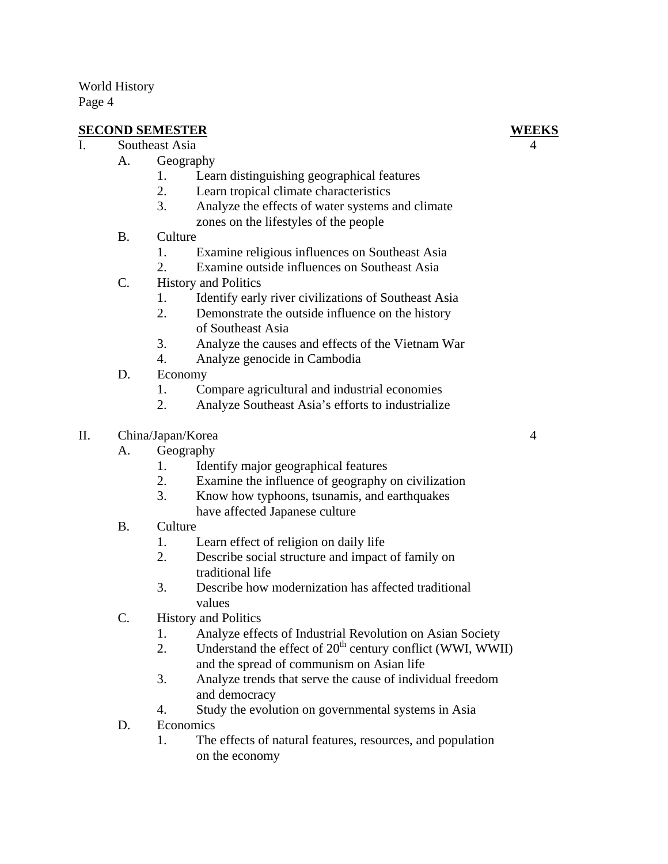# **SECOND SEMESTER WEEKS**

- I. Southeast Asia
	- A. Geography
		- 1. Learn distinguishing geographical features
		- 2. Learn tropical climate characteristics
		- 3. Analyze the effects of water systems and climate zones on the lifestyles of the people
	- B. Culture
		- 1. Examine religious influences on Southeast Asia
		- 2. Examine outside influences on Southeast Asia
	- C. History and Politics
		- 1. Identify early river civilizations of Southeast Asia
		- 2. Demonstrate the outside influence on the history of Southeast Asia
		- 3. Analyze the causes and effects of the Vietnam War
		- 4. Analyze genocide in Cambodia
	- D. Economy
		- 1. Compare agricultural and industrial economies
		- 2. Analyze Southeast Asia's efforts to industrialize
- II. China/Japan/Korea 4
	- A. Geography
		- 1. Identify major geographical features
		- 2. Examine the influence of geography on civilization
		- 3. Know how typhoons, tsunamis, and earthquakes have affected Japanese culture
	- B. Culture
		- 1. Learn effect of religion on daily life
		- 2. Describe social structure and impact of family on traditional life
		- 3. Describe how modernization has affected traditional values
	- C. History and Politics
		- 1. Analyze effects of Industrial Revolution on Asian Society
		- 2. Understand the effect of  $20<sup>th</sup>$  century conflict (WWI, WWII) and the spread of communism on Asian life
		- 3. Analyze trends that serve the cause of individual freedom and democracy
		- 4. Study the evolution on governmental systems in Asia
	- D. Economics
		- 1. The effects of natural features, resources, and population on the economy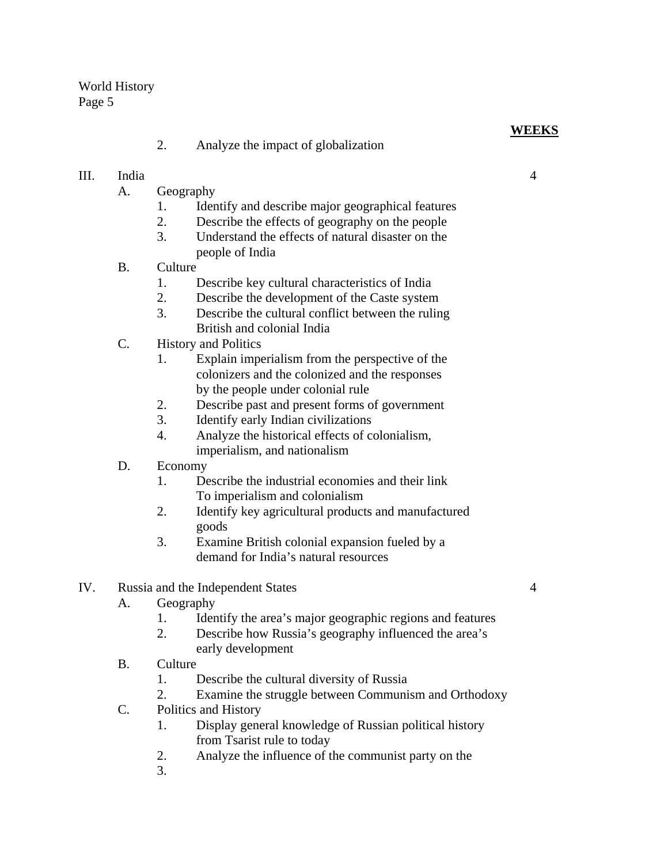2. Analyze the impact of globalization

# III. India 4

- A. Geography
	- 1. Identify and describe major geographical features
	- 2. Describe the effects of geography on the people
	- 3. Understand the effects of natural disaster on the people of India
- B. Culture
	- 1. Describe key cultural characteristics of India
	- 2. Describe the development of the Caste system
	- 3. Describe the cultural conflict between the ruling British and colonial India
- C. History and Politics
	- 1. Explain imperialism from the perspective of the colonizers and the colonized and the responses by the people under colonial rule
	- 2. Describe past and present forms of government
	- 3. Identify early Indian civilizations
	- 4. Analyze the historical effects of colonialism, imperialism, and nationalism
- D. Economy
	- 1. Describe the industrial economies and their link To imperialism and colonialism
	- 2. Identify key agricultural products and manufactured goods
	- 3. Examine British colonial expansion fueled by a demand for India's natural resources
- IV. Russia and the Independent States 4
	- A. Geography
		- 1. Identify the area's major geographic regions and features
		- 2. Describe how Russia's geography influenced the area's early development
	- B. Culture
		- 1. Describe the cultural diversity of Russia
		- 2. Examine the struggle between Communism and Orthodoxy
	- C. Politics and History
		- 1. Display general knowledge of Russian political history from Tsarist rule to today
		- 2. Analyze the influence of the communist party on the
		- 3.

**WEEKS**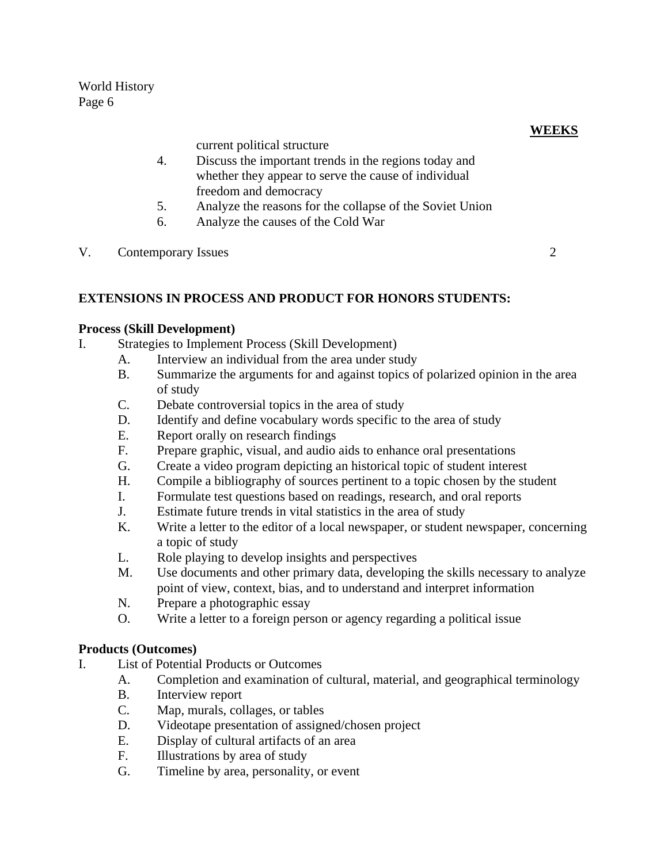current political structure

- 4. Discuss the important trends in the regions today and whether they appear to serve the cause of individual freedom and democracy
- 5. Analyze the reasons for the collapse of the Soviet Union
- 6. Analyze the causes of the Cold War
- V. Contemporary Issues 2

#### **EXTENSIONS IN PROCESS AND PRODUCT FOR HONORS STUDENTS:**

#### **Process (Skill Development)**

- I. Strategies to Implement Process (Skill Development)
	- A. Interview an individual from the area under study
	- B. Summarize the arguments for and against topics of polarized opinion in the area of study
	- C. Debate controversial topics in the area of study
	- D. Identify and define vocabulary words specific to the area of study
	- E. Report orally on research findings
	- F. Prepare graphic, visual, and audio aids to enhance oral presentations
	- G. Create a video program depicting an historical topic of student interest
	- H. Compile a bibliography of sources pertinent to a topic chosen by the student
	- I. Formulate test questions based on readings, research, and oral reports
	- J. Estimate future trends in vital statistics in the area of study
	- K. Write a letter to the editor of a local newspaper, or student newspaper, concerning a topic of study
	- L. Role playing to develop insights and perspectives
	- M. Use documents and other primary data, developing the skills necessary to analyze point of view, context, bias, and to understand and interpret information
	- N. Prepare a photographic essay
	- O. Write a letter to a foreign person or agency regarding a political issue

#### **Products (Outcomes)**

- I. List of Potential Products or Outcomes
	- A. Completion and examination of cultural, material, and geographical terminology
	- B. Interview report
	- C. Map, murals, collages, or tables
	- D. Videotape presentation of assigned/chosen project
	- E. Display of cultural artifacts of an area
	- F. Illustrations by area of study
	- G. Timeline by area, personality, or event

## **WEEKS**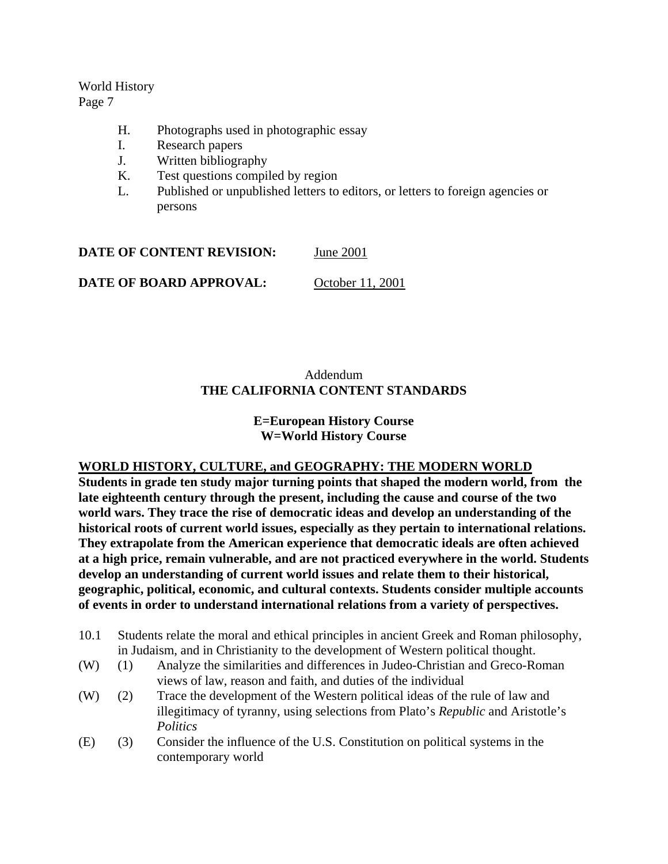# World History

Page 7

- H. Photographs used in photographic essay
- I. Research papers
- J. Written bibliography
- K. Test questions compiled by region
- L. Published or unpublished letters to editors, or letters to foreign agencies or persons

**DATE OF CONTENT REVISION:** June 2001

**DATE OF BOARD APPROVAL:** October 11, 2001

# Addendum **THE CALIFORNIA CONTENT STANDARDS**

#### **E=European History Course W=World History Course**

### **WORLD HISTORY, CULTURE, and GEOGRAPHY: THE MODERN WORLD**

**Students in grade ten study major turning points that shaped the modern world, from the late eighteenth century through the present, including the cause and course of the two world wars. They trace the rise of democratic ideas and develop an understanding of the historical roots of current world issues, especially as they pertain to international relations. They extrapolate from the American experience that democratic ideals are often achieved at a high price, remain vulnerable, and are not practiced everywhere in the world. Students develop an understanding of current world issues and relate them to their historical, geographic, political, economic, and cultural contexts. Students consider multiple accounts of events in order to understand international relations from a variety of perspectives.**

- 10.1 Students relate the moral and ethical principles in ancient Greek and Roman philosophy, in Judaism, and in Christianity to the development of Western political thought.
- (W) (1) Analyze the similarities and differences in Judeo-Christian and Greco-Roman views of law, reason and faith, and duties of the individual
- (W) (2) Trace the development of the Western political ideas of the rule of law and illegitimacy of tyranny, using selections from Plato's *Republic* and Aristotle's *Politics*
- (E) (3) Consider the influence of the U.S. Constitution on political systems in the contemporary world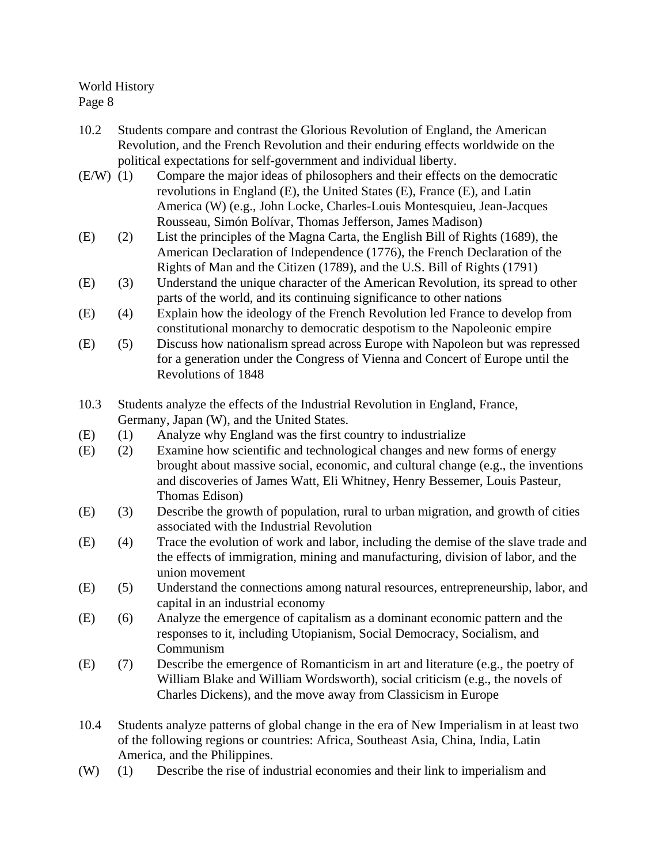- 10.2 Students compare and contrast the Glorious Revolution of England, the American Revolution, and the French Revolution and their enduring effects worldwide on the political expectations for self-government and individual liberty.
- (E/W) (1) Compare the major ideas of philosophers and their effects on the democratic revolutions in England (E), the United States (E), France (E), and Latin America (W) (e.g., John Locke, Charles-Louis Montesquieu, Jean-Jacques Rousseau, Simón Bolívar, Thomas Jefferson, James Madison)
- (E) (2) List the principles of the Magna Carta, the English Bill of Rights (1689), the American Declaration of Independence (1776), the French Declaration of the Rights of Man and the Citizen (1789), and the U.S. Bill of Rights (1791)
- (E) (3) Understand the unique character of the American Revolution, its spread to other parts of the world, and its continuing significance to other nations
- (E) (4) Explain how the ideology of the French Revolution led France to develop from constitutional monarchy to democratic despotism to the Napoleonic empire
- (E) (5) Discuss how nationalism spread across Europe with Napoleon but was repressed for a generation under the Congress of Vienna and Concert of Europe until the Revolutions of 1848
- 10.3 Students analyze the effects of the Industrial Revolution in England, France, Germany, Japan (W), and the United States.
- (E) (1) Analyze why England was the first country to industrialize
- (E) (2) Examine how scientific and technological changes and new forms of energy brought about massive social, economic, and cultural change (e.g., the inventions and discoveries of James Watt, Eli Whitney, Henry Bessemer, Louis Pasteur, Thomas Edison)
- (E) (3) Describe the growth of population, rural to urban migration, and growth of cities associated with the Industrial Revolution
- (E) (4) Trace the evolution of work and labor, including the demise of the slave trade and the effects of immigration, mining and manufacturing, division of labor, and the union movement
- (E) (5) Understand the connections among natural resources, entrepreneurship, labor, and capital in an industrial economy
- (E) (6) Analyze the emergence of capitalism as a dominant economic pattern and the responses to it, including Utopianism, Social Democracy, Socialism, and Communism
- (E) (7) Describe the emergence of Romanticism in art and literature (e.g., the poetry of William Blake and William Wordsworth), social criticism (e.g., the novels of Charles Dickens), and the move away from Classicism in Europe
- 10.4 Students analyze patterns of global change in the era of New Imperialism in at least two of the following regions or countries: Africa, Southeast Asia, China, India, Latin America, and the Philippines.
- (W) (1) Describe the rise of industrial economies and their link to imperialism and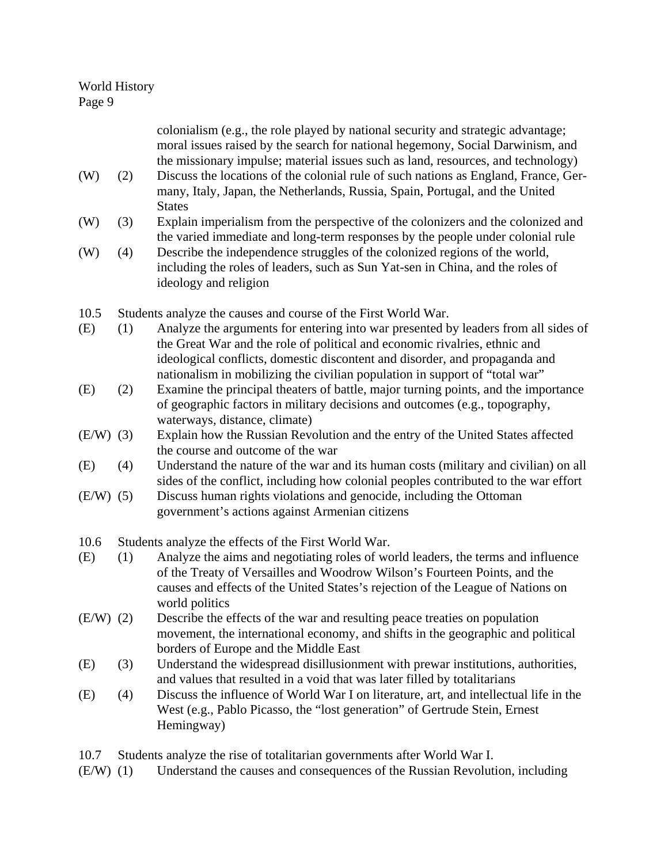| (W)         | (2) | colonialism (e.g., the role played by national security and strategic advantage;<br>moral issues raised by the search for national hegemony, Social Darwinism, and<br>the missionary impulse; material issues such as land, resources, and technology)<br>Discuss the locations of the colonial rule of such nations as England, France, Ger- |  |
|-------------|-----|-----------------------------------------------------------------------------------------------------------------------------------------------------------------------------------------------------------------------------------------------------------------------------------------------------------------------------------------------|--|
|             |     | many, Italy, Japan, the Netherlands, Russia, Spain, Portugal, and the United<br><b>States</b>                                                                                                                                                                                                                                                 |  |
| (W)         | (3) | Explain imperialism from the perspective of the colonizers and the colonized and<br>the varied immediate and long-term responses by the people under colonial rule                                                                                                                                                                            |  |
| (W)         | (4) | Describe the independence struggles of the colonized regions of the world,<br>including the roles of leaders, such as Sun Yat-sen in China, and the roles of<br>ideology and religion                                                                                                                                                         |  |
| 10.5        |     | Students analyze the causes and course of the First World War.                                                                                                                                                                                                                                                                                |  |
| (E)         | (1) | Analyze the arguments for entering into war presented by leaders from all sides of<br>the Great War and the role of political and economic rivalries, ethnic and<br>ideological conflicts, domestic discontent and disorder, and propaganda and<br>nationalism in mobilizing the civilian population in support of "total war"                |  |
| (E)         | (2) | Examine the principal theaters of battle, major turning points, and the importance<br>of geographic factors in military decisions and outcomes (e.g., topography,<br>waterways, distance, climate)                                                                                                                                            |  |
| $(E/W)$ (3) |     | Explain how the Russian Revolution and the entry of the United States affected<br>the course and outcome of the war                                                                                                                                                                                                                           |  |
| (E)         | (4) | Understand the nature of the war and its human costs (military and civilian) on all<br>sides of the conflict, including how colonial peoples contributed to the war effort                                                                                                                                                                    |  |
| $(E/W)$ (5) |     | Discuss human rights violations and genocide, including the Ottoman<br>government's actions against Armenian citizens                                                                                                                                                                                                                         |  |
| 10.6        |     | Students analyze the effects of the First World War.                                                                                                                                                                                                                                                                                          |  |
| (E)         | (1) | Analyze the aims and negotiating roles of world leaders, the terms and influence<br>of the Treaty of Versailles and Woodrow Wilson's Fourteen Points, and the<br>causes and effects of the United States's rejection of the League of Nations on<br>world politics                                                                            |  |
| $(E/W)$ (2) |     | Describe the effects of the war and resulting peace treaties on population<br>movement, the international economy, and shifts in the geographic and political<br>borders of Europe and the Middle East                                                                                                                                        |  |
| (E)         | (3) | Understand the widespread disillusionment with prewar institutions, authorities,<br>and values that resulted in a void that was later filled by totalitarians                                                                                                                                                                                 |  |
| (E)         | (4) | Discuss the influence of World War I on literature, art, and intellectual life in the<br>West (e.g., Pablo Picasso, the "lost generation" of Gertrude Stein, Ernest<br>Hemingway)                                                                                                                                                             |  |

- 10.7 Students analyze the rise of totalitarian governments after World War I.
- (E/W) (1) Understand the causes and consequences of the Russian Revolution, including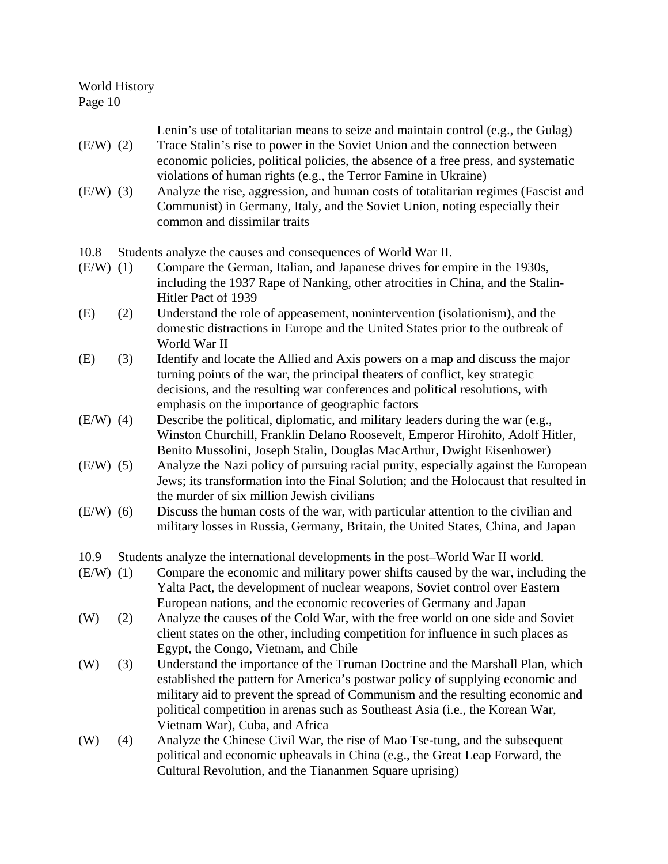| $(E/W)$ (2)<br>$(E/W)$ (3) |     | Lenin's use of totalitarian means to seize and maintain control (e.g., the Gulag)<br>Trace Stalin's rise to power in the Soviet Union and the connection between<br>economic policies, political policies, the absence of a free press, and systematic<br>violations of human rights (e.g., the Terror Famine in Ukraine)<br>Analyze the rise, aggression, and human costs of totalitarian regimes (Fascist and<br>Communist) in Germany, Italy, and the Soviet Union, noting especially their<br>common and dissimilar traits |  |
|----------------------------|-----|--------------------------------------------------------------------------------------------------------------------------------------------------------------------------------------------------------------------------------------------------------------------------------------------------------------------------------------------------------------------------------------------------------------------------------------------------------------------------------------------------------------------------------|--|
| 10.8                       |     | Students analyze the causes and consequences of World War II.                                                                                                                                                                                                                                                                                                                                                                                                                                                                  |  |
| (E/W)                      | (1) | Compare the German, Italian, and Japanese drives for empire in the 1930s,<br>including the 1937 Rape of Nanking, other atrocities in China, and the Stalin-<br>Hitler Pact of 1939                                                                                                                                                                                                                                                                                                                                             |  |
| (E)                        | (2) | Understand the role of appeasement, nonintervention (isolationism), and the<br>domestic distractions in Europe and the United States prior to the outbreak of<br>World War II                                                                                                                                                                                                                                                                                                                                                  |  |
| (E)                        | (3) | Identify and locate the Allied and Axis powers on a map and discuss the major<br>turning points of the war, the principal theaters of conflict, key strategic<br>decisions, and the resulting war conferences and political resolutions, with<br>emphasis on the importance of geographic factors                                                                                                                                                                                                                              |  |
| $(E/W)$ (4)                |     | Describe the political, diplomatic, and military leaders during the war (e.g.,<br>Winston Churchill, Franklin Delano Roosevelt, Emperor Hirohito, Adolf Hitler,<br>Benito Mussolini, Joseph Stalin, Douglas MacArthur, Dwight Eisenhower)                                                                                                                                                                                                                                                                                      |  |
| $(E/W)$ (5)                |     | Analyze the Nazi policy of pursuing racial purity, especially against the European<br>Jews; its transformation into the Final Solution; and the Holocaust that resulted in<br>the murder of six million Jewish civilians                                                                                                                                                                                                                                                                                                       |  |
| $(E/W)$ (6)                |     | Discuss the human costs of the war, with particular attention to the civilian and<br>military losses in Russia, Germany, Britain, the United States, China, and Japan                                                                                                                                                                                                                                                                                                                                                          |  |
| 10.9                       |     | Students analyze the international developments in the post-World War II world.                                                                                                                                                                                                                                                                                                                                                                                                                                                |  |
| $(E/W)$ (1)                |     | Compare the economic and military power shifts caused by the war, including the<br>Yalta Pact, the development of nuclear weapons, Soviet control over Eastern<br>European nations, and the economic recoveries of Germany and Japan                                                                                                                                                                                                                                                                                           |  |
| (W)                        | (2) | Analyze the causes of the Cold War, with the free world on one side and Soviet<br>client states on the other, including competition for influence in such places as<br>Egypt, the Congo, Vietnam, and Chile                                                                                                                                                                                                                                                                                                                    |  |
| (W)                        | (3) | Understand the importance of the Truman Doctrine and the Marshall Plan, which<br>established the pattern for America's postwar policy of supplying economic and<br>military aid to prevent the spread of Communism and the resulting economic and<br>political competition in arenas such as Southeast Asia (i.e., the Korean War,<br>Vietnam War), Cuba, and Africa                                                                                                                                                           |  |
| (W)                        | (4) | Analyze the Chinese Civil War, the rise of Mao Tse-tung, and the subsequent<br>political and economic upheavals in China (e.g., the Great Leap Forward, the<br>Cultural Revolution, and the Tiananmen Square uprising)                                                                                                                                                                                                                                                                                                         |  |